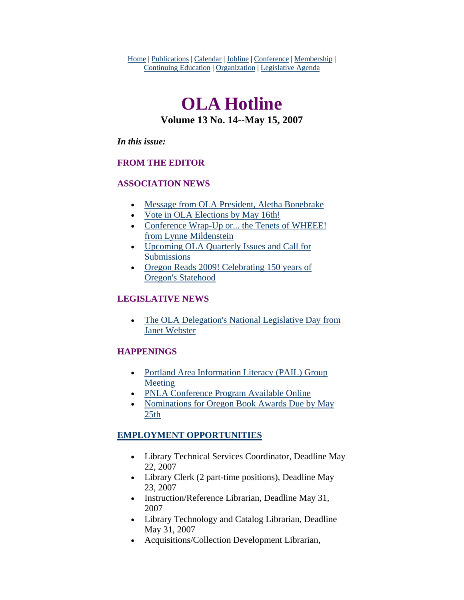Home | Publications | Calendar | Jobline | Conference | Membership | Continuing Education | Organization | Legislative Agenda

# **OLA Hotline Volume 13 No. 14--May 15, 2007**

#### *In this issue:*

### **FROM THE EDITOR**

### **ASSOCIATION NEWS**

- [Message from OLA President, Aletha Bonebrake](#page-1-0)
- [Vote in OLA Elections by May 16th!](#page-2-0)
- Conference Wrap-Up or... the Tenets of WHEEE! [from Lynne Mildenstein](#page-3-0)
- [Upcoming OLA Quarterly Issues and Call for](#page-5-0)  [Submissions](#page-5-0)
- [Oregon Reads 2009! Celebrating 150 years of](#page-5-0)  [Oregon's Statehood](#page-5-0)

### **LEGISLATIVE NEWS**

• The OLA Delegation's National Legislative Day from [Janet Webster](#page-7-0)

### **HAPPENINGS**

- Portland Area Information Literacy (PAIL) Group [Meeting](#page-11-0)
- [PNLA Conference Program Available Online](#page-11-0)
- Nominations for Oregon Book Awards Due by May [25th](#page-12-0)

### **EMPLOYMENT OPPORTUNITIES**

- Library Technical Services Coordinator, Deadline May 22, 2007
- Library Clerk (2 part-time positions), Deadline May 23, 2007
- Instruction/Reference Librarian, Deadline May 31, 2007
- Library Technology and Catalog Librarian, Deadline May 31, 2007
- Acquisitions/Collection Development Librarian,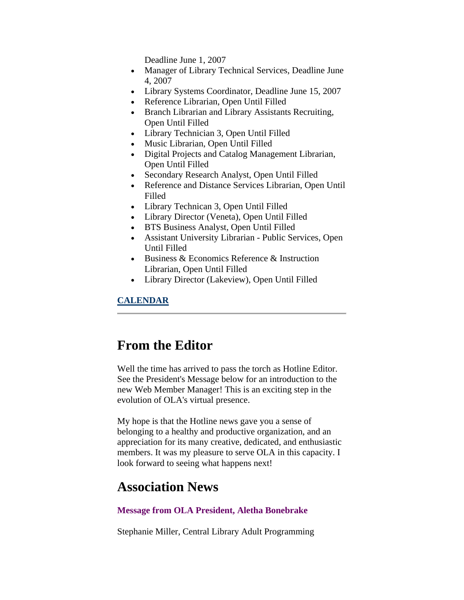Deadline June 1, 2007

- <span id="page-1-0"></span>• Manager of Library Technical Services, Deadline June 4, 2007
- Library Systems Coordinator, Deadline June 15, 2007
- Reference Librarian, Open Until Filled
- Branch Librarian and Library Assistants Recruiting, Open Until Filled
- Library Technician 3, Open Until Filled
- Music Librarian, Open Until Filled
- Digital Projects and Catalog Management Librarian, Open Until Filled
- Secondary Research Analyst, Open Until Filled
- Reference and Distance Services Librarian, Open Until Filled
- Library Technican 3, Open Until Filled
- Library Director (Veneta), Open Until Filled
- BTS Business Analyst, Open Until Filled
- Assistant University Librarian Public Services, Open Until Filled
- Business & Economics Reference & Instruction Librarian, Open Until Filled
- Library Director (Lakeview), Open Until Filled

### **CALENDAR**

## **From the Editor**

Well the time has arrived to pass the torch as Hotline Editor. See the President's Message below for an introduction to the new Web Member Manager! This is an exciting step in the evolution of OLA's virtual presence.

My hope is that the Hotline news gave you a sense of belonging to a healthy and productive organization, and an appreciation for its many creative, dedicated, and enthusiastic members. It was my pleasure to serve OLA in this capacity. I look forward to seeing what happens next!

## **Association News**

### **Message from OLA President, Aletha Bonebrake**

Stephanie Miller, Central Library Adult Programming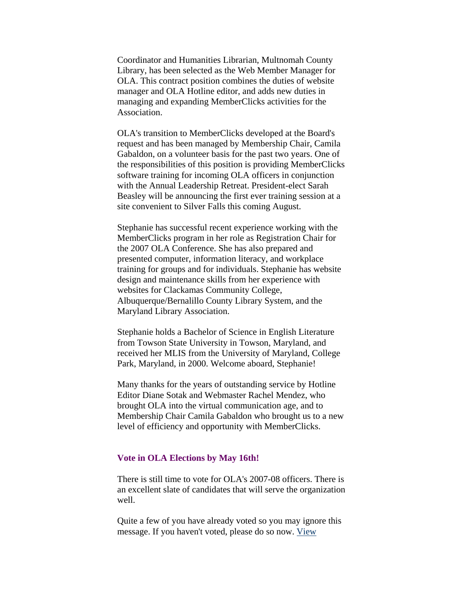<span id="page-2-0"></span>Coordinator and Humanities Librarian, Multnomah County Library, has been selected as the Web Member Manager for OLA. This contract position combines the duties of website manager and OLA Hotline editor, and adds new duties in managing and expanding MemberClicks activities for the Association.

OLA's transition to MemberClicks developed at the Board's request and has been managed by Membership Chair, Camila Gabaldon, on a volunteer basis for the past two years. One of the responsibilities of this position is providing MemberClicks software training for incoming OLA officers in conjunction with the Annual Leadership Retreat. President-elect Sarah Beasley will be announcing the first ever training session at a site convenient to Silver Falls this coming August.

Stephanie has successful recent experience working with the MemberClicks program in her role as Registration Chair for the 2007 OLA Conference. She has also prepared and presented computer, information literacy, and workplace training for groups and for individuals. Stephanie has website design and maintenance skills from her experience with websites for Clackamas Community College, Albuquerque/Bernalillo County Library System, and the Maryland Library Association.

Stephanie holds a Bachelor of Science in English Literature from Towson State University in Towson, Maryland, and received her MLIS from the University of Maryland, College Park, Maryland, in 2000. Welcome aboard, Stephanie!

Many thanks for the years of outstanding service by Hotline Editor Diane Sotak and Webmaster Rachel Mendez, who brought OLA into the virtual communication age, and to Membership Chair Camila Gabaldon who brought us to a new level of efficiency and opportunity with MemberClicks.

#### **Vote in OLA Elections by May 16th!**

There is still time to vote for OLA's 2007-08 officers. There is an excellent slate of candidates that will serve the organization well.

Quite a few of you have already voted so you may ignore this message. If you haven't voted, please do so now. [View](https://web.memberclicks.com/mc/quickForm/viewForm.do?orgId=ola&formId=26865)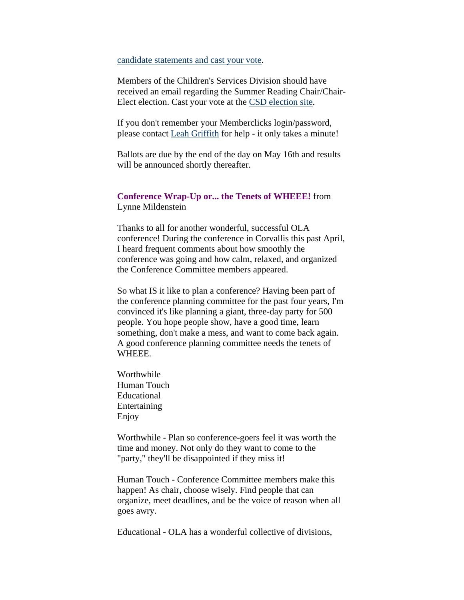#### <span id="page-3-0"></span>[candidate statements and cast your vote](https://web.memberclicks.com/mc/quickForm/viewForm.do?orgId=ola&formId=26865).

Members of the Children's Services Division should have received an email regarding the Summer Reading Chair/Chair-Elect election. Cast your vote at the [CSD election site.](https://web.memberclicks.com/mc/quickForm/viewForm.do?orgId=ola&formId=27144)

If you don't remember your Memberclicks login/password, please contact [Leah Griffith](mailto:leahg@ccrls.org) for help - it only takes a minute!

Ballots are due by the end of the day on May 16th and results will be announced shortly thereafter.

### **Conference Wrap-Up or... the Tenets of WHEEE!** from Lynne Mildenstein

Thanks to all for another wonderful, successful OLA conference! During the conference in Corvallis this past April, I heard frequent comments about how smoothly the conference was going and how calm, relaxed, and organized the Conference Committee members appeared.

So what IS it like to plan a conference? Having been part of the conference planning committee for the past four years, I'm convinced it's like planning a giant, three-day party for 500 people. You hope people show, have a good time, learn something, don't make a mess, and want to come back again. A good conference planning committee needs the tenets of WHEEE.

Worthwhile Human Touch Educational Entertaining Enjoy

Worthwhile - Plan so conference-goers feel it was worth the time and money. Not only do they want to come to the "party," they'll be disappointed if they miss it!

Human Touch - Conference Committee members make this happen! As chair, choose wisely. Find people that can organize, meet deadlines, and be the voice of reason when all goes awry.

Educational - OLA has a wonderful collective of divisions,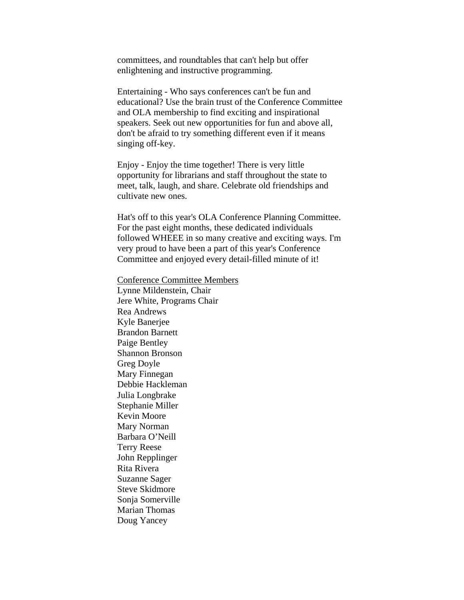committees, and roundtables that can't help but offer enlightening and instructive programming.

Entertaining - Who says conferences can't be fun and educational? Use the brain trust of the Conference Committee and OLA membership to find exciting and inspirational speakers. Seek out new opportunities for fun and above all, don't be afraid to try something different even if it means singing off-key.

Enjoy - Enjoy the time together! There is very little opportunity for librarians and staff throughout the state to meet, talk, laugh, and share. Celebrate old friendships and cultivate new ones.

Hat's off to this year's OLA Conference Planning Committee. For the past eight months, these dedicated individuals followed WHEEE in so many creative and exciting ways. I'm very proud to have been a part of this year's Conference Committee and enjoyed every detail-filled minute of it!

Conference Committee Members

Lynne Mildenstein, Chair Jere White, Programs Chair Rea Andrews Kyle Banerjee Brandon Barnett Paige Bentley Shannon Bronson Greg Doyle Mary Finnegan Debbie Hackleman Julia Longbrake Stephanie Miller Kevin Moore Mary Norman Barbara O'Neill Terry Reese John Repplinger Rita Rivera Suzanne Sager Steve Skidmore Sonja Somerville Marian Thomas Doug Yancey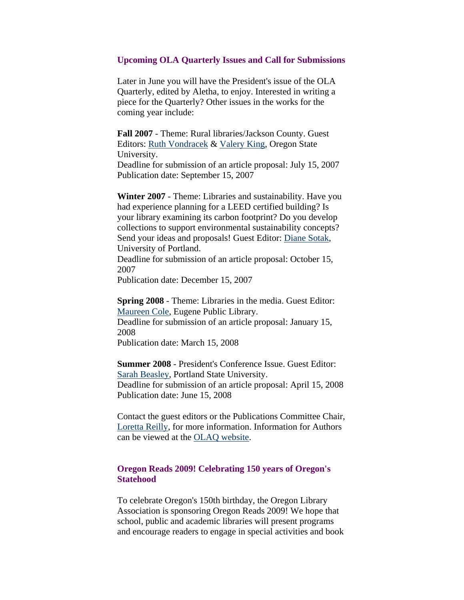#### <span id="page-5-0"></span>**Upcoming OLA Quarterly Issues and Call for Submissions**

Later in June you will have the President's issue of the OLA Quarterly, edited by Aletha, to enjoy. Interested in writing a piece for the Quarterly? Other issues in the works for the coming year include:

**Fall 2007** - Theme: Rural libraries/Jackson County. Guest Editors: [Ruth Vondracek](mailto:ruth.vondracek@oregonstate.edu) & [Valery King,](mailto:valery.king@oregonstate.edu) Oregon State University.

Deadline for submission of an article proposal: July 15, 2007 Publication date: September 15, 2007

**Winter 2007** - Theme: Libraries and sustainability. Have you had experience planning for a LEED certified building? Is your library examining its carbon footprint? Do you develop collections to support environmental sustainability concepts? Send your ideas and proposals! Guest Editor: [Diane Sotak](mailto:sotak@up.edu), University of Portland.

Deadline for submission of an article proposal: October 15, 2007

Publication date: December 15, 2007

**Spring 2008** - Theme: Libraries in the media. Guest Editor: [Maureen Cole](mailto:maureen.t.cole@ci.eugene.or.us), Eugene Public Library.

Deadline for submission of an article proposal: January 15, 2008

Publication date: March 15, 2008

**Summer 2008** - President's Conference Issue. Guest Editor: [Sarah Beasley](mailto:beasleys@pdx.edu), Portland State University. Deadline for submission of an article proposal: April 15, 2008 Publication date: June 15, 2008

Contact the guest editors or the Publications Committee Chair, [Loretta Reilly,](mailto:loretta.reilly@oregonstate.edu) for more information. Information for Authors can be viewed at the [OLAQ website.](http://www.olaweb.org/quarterly/authors.shtml)

### **Oregon Reads 2009! Celebrating 150 years of Oregon's Statehood**

To celebrate Oregon's 150th birthday, the Oregon Library Association is sponsoring Oregon Reads 2009! We hope that school, public and academic libraries will present programs and encourage readers to engage in special activities and book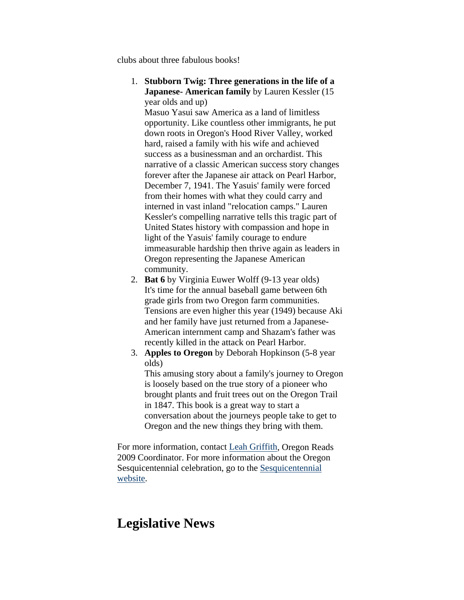clubs about three fabulous books!

1. **Stubborn Twig: Three generations in the life of a Japanese- American family** by Lauren Kessler (15 year olds and up)

Masuo Yasui saw America as a land of limitless opportunity. Like countless other immigrants, he put down roots in Oregon's Hood River Valley, worked hard, raised a family with his wife and achieved success as a businessman and an orchardist. This narrative of a classic American success story changes forever after the Japanese air attack on Pearl Harbor, December 7, 1941. The Yasuis' family were forced from their homes with what they could carry and interned in vast inland "relocation camps." Lauren Kessler's compelling narrative tells this tragic part of United States history with compassion and hope in light of the Yasuis' family courage to endure immeasurable hardship then thrive again as leaders in Oregon representing the Japanese American community.

- 2. **Bat 6** by Virginia Euwer Wolff (9-13 year olds) It's time for the annual baseball game between 6th grade girls from two Oregon farm communities. Tensions are even higher this year (1949) because Aki and her family have just returned from a Japanese-American internment camp and Shazam's father was recently killed in the attack on Pearl Harbor.
- 3. **Apples to Oregon** by Deborah Hopkinson (5-8 year olds)

This amusing story about a family's journey to Oregon is loosely based on the true story of a pioneer who brought plants and fruit trees out on the Oregon Trail in 1847. This book is a great way to start a conversation about the journeys people take to get to Oregon and the new things they bring with them.

For more information, contact [Leah Griffith](mailto:leah.griffith@ci.newberg.or.us), Oregon Reads 2009 Coordinator. For more information about the Oregon Sesquicentennial celebration, go to the [Sesquicentennial](http://www.oregon150.org/)  [website.](http://www.oregon150.org/)

## **Legislative News**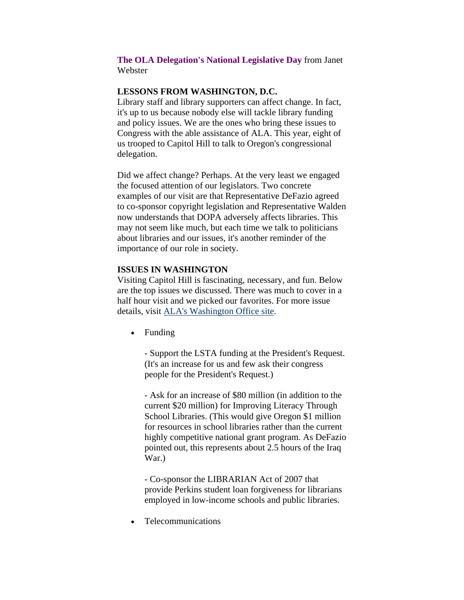#### <span id="page-7-0"></span>**The OLA Delegation's National Legislative Day** from Janet Webster

#### **LESSONS FROM WASHINGTON, D.C.**

Library staff and library supporters can affect change. In fact, it's up to us because nobody else will tackle library funding and policy issues. We are the ones who bring these issues to Congress with the able assistance of ALA. This year, eight of us trooped to Capitol Hill to talk to Oregon's congressional delegation.

Did we affect change? Perhaps. At the very least we engaged the focused attention of our legislators. Two concrete examples of our visit are that Representative DeFazio agreed to co-sponsor copyright legislation and Representative Walden now understands that DOPA adversely affects libraries. This may not seem like much, but each time we talk to politicians about libraries and our issues, it's another reminder of the importance of our role in society.

#### **ISSUES IN WASHINGTON**

Visiting Capitol Hill is fascinating, necessary, and fun. Below are the top issues we discussed. There was much to cover in a half hour visit and we picked our favorites. For more issue details, visit [ALA's Washington Office site.](http://www.ala.org/ala/washoff/woissues/issues.cfm)

• Funding

- Support the LSTA funding at the President's Request. (It's an increase for us and few ask their congress people for the President's Request.)

- Ask for an increase of \$80 million (in addition to the current \$20 million) for Improving Literacy Through School Libraries. (This would give Oregon \$1 million for resources in school libraries rather than the current highly competitive national grant program. As DeFazio pointed out, this represents about 2.5 hours of the Iraq War.)

- Co-sponsor the LIBRARIAN Act of 2007 that provide Perkins student loan forgiveness for librarians employed in low-income schools and public libraries.

• Telecommunications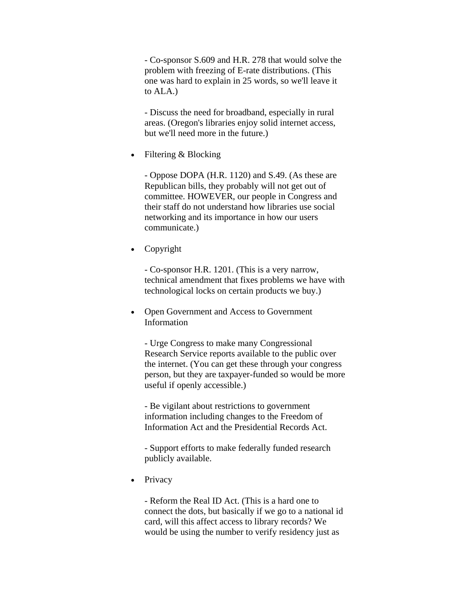- Co-sponsor S.609 and H.R. 278 that would solve the problem with freezing of E-rate distributions. (This one was hard to explain in 25 words, so we'll leave it to ALA.)

- Discuss the need for broadband, especially in rural areas. (Oregon's libraries enjoy solid internet access, but we'll need more in the future.)

• Filtering & Blocking

- Oppose DOPA (H.R. 1120) and S.49. (As these are Republican bills, they probably will not get out of committee. HOWEVER, our people in Congress and their staff do not understand how libraries use social networking and its importance in how our users communicate.)

• Copyright

- Co-sponsor H.R. 1201. (This is a very narrow, technical amendment that fixes problems we have with technological locks on certain products we buy.)

• Open Government and Access to Government Information

- Urge Congress to make many Congressional Research Service reports available to the public over the internet. (You can get these through your congress person, but they are taxpayer-funded so would be more useful if openly accessible.)

- Be vigilant about restrictions to government information including changes to the Freedom of Information Act and the Presidential Records Act.

- Support efforts to make federally funded research publicly available.

• Privacy

- Reform the Real ID Act. (This is a hard one to connect the dots, but basically if we go to a national id card, will this affect access to library records? We would be using the number to verify residency just as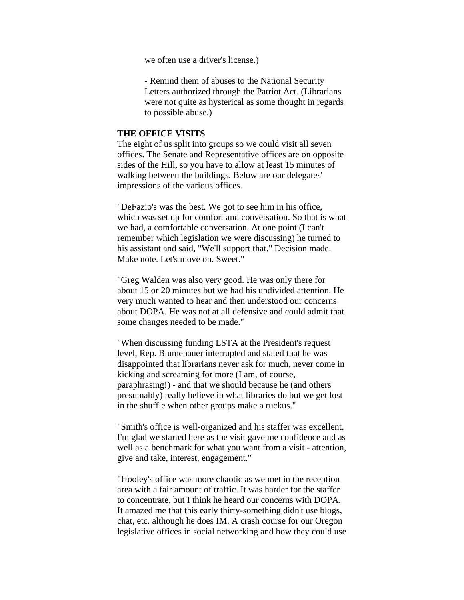we often use a driver's license.)

- Remind them of abuses to the National Security Letters authorized through the Patriot Act. (Librarians were not quite as hysterical as some thought in regards to possible abuse.)

### **THE OFFICE VISITS**

The eight of us split into groups so we could visit all seven offices. The Senate and Representative offices are on opposite sides of the Hill, so you have to allow at least 15 minutes of walking between the buildings. Below are our delegates' impressions of the various offices.

"DeFazio's was the best. We got to see him in his office, which was set up for comfort and conversation. So that is what we had, a comfortable conversation. At one point (I can't remember which legislation we were discussing) he turned to his assistant and said, "We'll support that." Decision made. Make note. Let's move on. Sweet."

"Greg Walden was also very good. He was only there for about 15 or 20 minutes but we had his undivided attention. He very much wanted to hear and then understood our concerns about DOPA. He was not at all defensive and could admit that some changes needed to be made."

"When discussing funding LSTA at the President's request level, Rep. Blumenauer interrupted and stated that he was disappointed that librarians never ask for much, never come in kicking and screaming for more (I am, of course, paraphrasing!) - and that we should because he (and others presumably) really believe in what libraries do but we get lost in the shuffle when other groups make a ruckus."

"Smith's office is well-organized and his staffer was excellent. I'm glad we started here as the visit gave me confidence and as well as a benchmark for what you want from a visit - attention, give and take, interest, engagement."

"Hooley's office was more chaotic as we met in the reception area with a fair amount of traffic. It was harder for the staffer to concentrate, but I think he heard our concerns with DOPA. It amazed me that this early thirty-something didn't use blogs, chat, etc. although he does IM. A crash course for our Oregon legislative offices in social networking and how they could use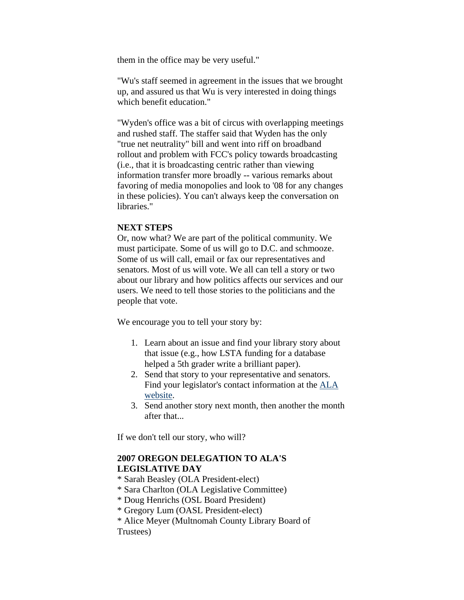them in the office may be very useful."

"Wu's staff seemed in agreement in the issues that we brought up, and assured us that Wu is very interested in doing things which benefit education."

"Wyden's office was a bit of circus with overlapping meetings and rushed staff. The staffer said that Wyden has the only "true net neutrality" bill and went into riff on broadband rollout and problem with FCC's policy towards broadcasting (i.e., that it is broadcasting centric rather than viewing information transfer more broadly -- various remarks about favoring of media monopolies and look to '08 for any changes in these policies). You can't always keep the conversation on libraries<sup>"</sup>

### **NEXT STEPS**

Or, now what? We are part of the political community. We must participate. Some of us will go to D.C. and schmooze. Some of us will call, email or fax our representatives and senators. Most of us will vote. We all can tell a story or two about our library and how politics affects our services and our users. We need to tell those stories to the politicians and the people that vote.

We encourage you to tell your story by:

- 1. Learn about an issue and find your library story about that issue (e.g., how LSTA funding for a database helped a 5th grader write a brilliant paper).
- 2. Send that story to your representative and senators. Find your legislator's contact information at the [ALA](http://www.capwiz.com/ala/home/)  [website.](http://www.capwiz.com/ala/home/)
- 3. Send another story next month, then another the month after that...

If we don't tell our story, who will?

### **2007 OREGON DELEGATION TO ALA'S LEGISLATIVE DAY**

- \* Sarah Beasley (OLA President-elect)
- \* Sara Charlton (OLA Legislative Committee)
- \* Doug Henrichs (OSL Board President)
- \* Gregory Lum (OASL President-elect)
- \* Alice Meyer (Multnomah County Library Board of

Trustees)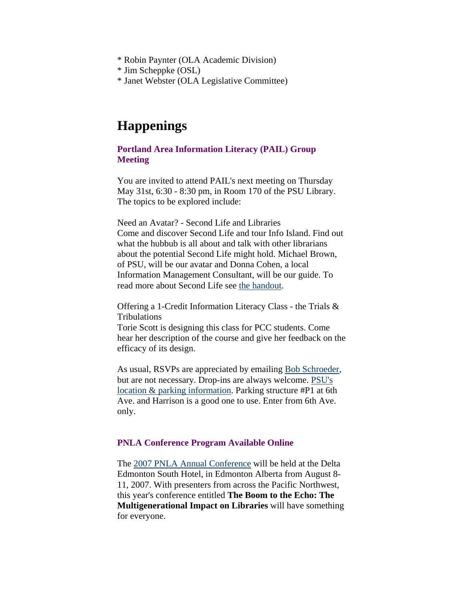- <span id="page-11-0"></span>\* Robin Paynter (OLA Academic Division)
- \* Jim Scheppke (OSL)
- \* Janet Webster (OLA Legislative Committee)

## **Happenings**

### **Portland Area Information Literacy (PAIL) Group Meeting**

You are invited to attend PAIL's next meeting on Thursday May 31st, 6:30 - 8:30 pm, in Room 170 of the PSU Library. The topics to be explored include:

Need an Avatar? - Second Life and Libraries Come and discover Second Life and tour Info Island. Find out what the hubbub is all about and talk with other librarians about the potential Second Life might hold. Michael Brown, of PSU, will be our avatar and Donna Cohen, a local Information Management Consultant, will be our guide. To read more about Second Life see [the handout.](http://www.pdx.edu/media/s/l/SL.doc)

Offering a 1-Credit Information Literacy Class - the Trials & Tribulations

Torie Scott is designing this class for PCC students. Come hear her description of the course and give her feedback on the efficacy of its design.

As usual, RSVPs are appreciated by emailing [Bob Schroeder,](mailto:schroedr@pdx.edu) but are not necessary. Drop-ins are always welcome. [PSU's](http://www.pdx.edu/map.html)  [location & parking information](http://www.pdx.edu/map.html). Parking structure #P1 at 6th Ave. and Harrison is a good one to use. Enter from 6th Ave. only.

#### **PNLA Conference Program Available Online**

The [2007 PNLA Annual Conference](http://www.pnla.org/events/conference07/) will be held at the Delta Edmonton South Hotel, in Edmonton Alberta from August 8- 11, 2007. With presenters from across the Pacific Northwest, this year's conference entitled **The Boom to the Echo: The Multigenerational Impact on Libraries** will have something for everyone.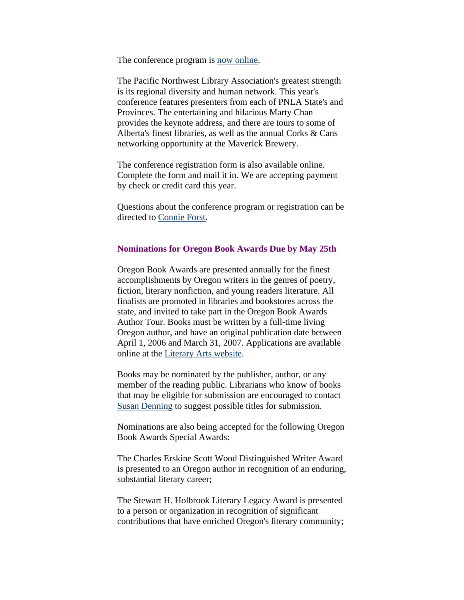<span id="page-12-0"></span>The conference program is [now online](http://www.pnla.org/events/conference07/2007program2.pdf).

The Pacific Northwest Library Association's greatest strength is its regional diversity and human network. This year's conference features presenters from each of PNLA State's and Provinces. The entertaining and hilarious Marty Chan provides the keynote address, and there are tours to some of Alberta's finest libraries, as well as the annual Corks & Cans networking opportunity at the Maverick Brewery.

The conference registration form is also available online. Complete the form and mail it in. We are accepting payment by check or credit card this year.

Questions about the conference program or registration can be directed to [Connie Forst](mailto:cm_forst@yahoo.ca).

#### **Nominations for Oregon Book Awards Due by May 25th**

Oregon Book Awards are presented annually for the finest accomplishments by Oregon writers in the genres of poetry, fiction, literary nonfiction, and young readers literature. All finalists are promoted in libraries and bookstores across the state, and invited to take part in the Oregon Book Awards Author Tour. Books must be written by a full-time living Oregon author, and have an original publication date between April 1, 2006 and March 31, 2007. Applications are available online at the [Literary Arts website](http://www.literary-arts.org/).

Books may be nominated by the publisher, author, or any member of the reading public. Librarians who know of books that may be eligible for submission are encouraged to contact [Susan Denning](mailto:susan@literary-arts.org) to suggest possible titles for submission.

Nominations are also being accepted for the following Oregon Book Awards Special Awards:

The Charles Erskine Scott Wood Distinguished Writer Award is presented to an Oregon author in recognition of an enduring, substantial literary career;

The Stewart H. Holbrook Literary Legacy Award is presented to a person or organization in recognition of significant contributions that have enriched Oregon's literary community;